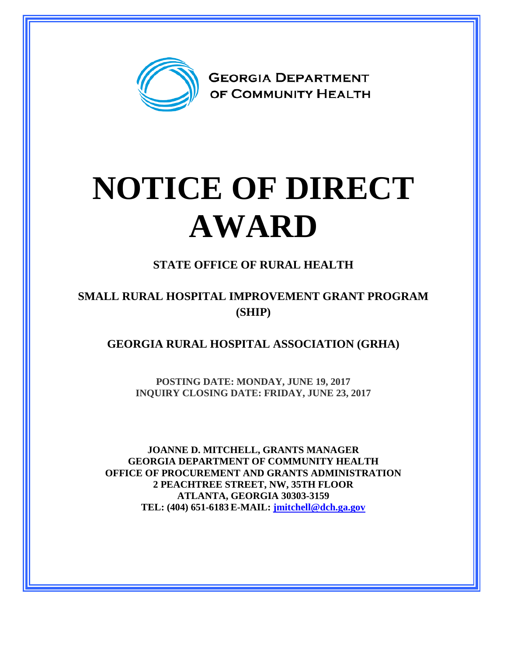

## **NOTICE OF DIRECT AWARD**

**STATE OFFICE OF RURAL HEALTH**

## **SMALL RURAL HOSPITAL IMPROVEMENT GRANT PROGRAM (SHIP)**

**GEORGIA RURAL HOSPITAL ASSOCIATION (GRHA)**

**POSTING DATE: MONDAY, JUNE 19, 2017 INQUIRY CLOSING DATE: FRIDAY, JUNE 23, 2017**

**JOANNE D. MITCHELL, GRANTS MANAGER GEORGIA DEPARTMENT OF COMMUNITY HEALTH OFFICE OF PROCUREMENT AND GRANTS ADMINISTRATION 2 PEACHTREE STREET, NW, 35TH FLOOR ATLANTA, GEORGIA 30303-3159 TEL: (404) 651-6183 E-MAIL: [jmitchell@dch.ga.gov](mailto:awatson@dch.ga.gov)**